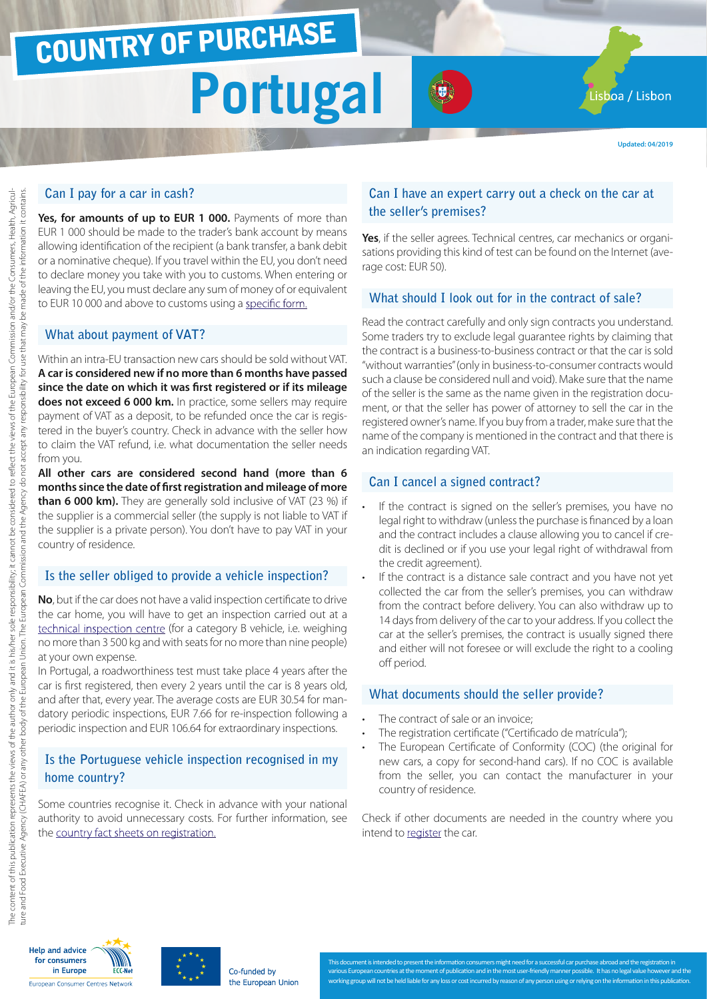# COUNTRY OF PURCHASE

# **Portugal Portugal**

**Updated: 04/2019**

# **Can I pay for a car in cash?**

**Yes, for amounts of up to EUR 1 000.** Payments of more than EUR 1 000 should be made to the trader's bank account by means allowing identification of the recipient (a bank transfer, a bank debit or a nominative cheque). If you travel within the EU, you don't need to declare money you take with you to customs. When entering or leaving the EU, you must declare any sum of money of or equivalent to EUR 10 000 and above to customs using a [specific form.](http://ec.europa.eu/taxation_customs/resources/documents/customs/customs_controls/cash_controls/declaration_forms/declaration_form_pt_en.pdf)

# **What about payment of VAT?**

Within an intra-EU transaction new cars should be sold without VAT. **A car is considered new if no more than 6 months have passed since the date on which it was first registered or if its mileage does not exceed 6 000 km.** In practice, some sellers may require payment of VAT as a deposit, to be refunded once the car is registered in the buyer's country. Check in advance with the seller how to claim the VAT refund, i.e. what documentation the seller needs from you.

**All other cars are considered second hand (more than 6 months since the date of first registration and mileage of more than 6 000 km).** They are generally sold inclusive of VAT (23 %) if the supplier is a commercial seller (the supply is not liable to VAT if the supplier is a private person). You don't have to pay VAT in your country of residence.

#### **Is the seller obliged to provide a vehicle inspection?**

**No**, but if the car does not have a valid inspection certificate to drive the car home, you will have to get an inspection carried out at a [technical inspection centre](http://www.imtt.pt/sites/IMTT/Portugues/Veiculos/PesquisaCentrosInspeccao/Paginas/PesquisaCentrosInspeccao.aspx) (for a category B vehicle, i.e. weighing no more than 3 500 kg and with seats for no more than nine people) at your own expense.

In Portugal, a roadworthiness test must take place 4 years after the car is first registered, then every 2 years until the car is 8 years old, and after that, every year. The average costs are EUR 30.54 for mandatory periodic inspections, EUR 7.66 for re-inspection following a periodic inspection and EUR 106.64 for extraordinary inspections.

# **Is the Portuguese vehicle inspection recognised in my home country?**

Some countries recognise it. Check in advance with your national authority to avoid unnecessary costs. For further information, see the [country fact sheets on registration.](http://www.europe-consommateurs.eu/en/consumer-topics/on-the-road/buying-a-car/cross-border-car-purchase-and-registration/)

### **Can I have an expert carry out a check on the car at the seller's premises?**

**Yes**, if the seller agrees. Technical centres, car mechanics or organisations providing this kind of test can be found on the Internet (average cost: EUR 50).

# **What should I look out for in the contract of sale?**

Read the contract carefully and only sign contracts you understand. Some traders try to exclude legal guarantee rights by claiming that the contract is a business-to-business contract or that the car is sold "without warranties" (only in business-to-consumer contracts would such a clause be considered null and void). Make sure that the name of the seller is the same as the name given in the registration document, or that the seller has power of attorney to sell the car in the registered owner's name. If you buy from a trader, make sure that the name of the company is mentioned in the contract and that there is an indication regarding VAT.

### **Can I cancel a signed contract?**

- If the contract is signed on the seller's premises, you have no legal right to withdraw (unless the purchase is financed by a loan and the contract includes a clause allowing you to cancel if credit is declined or if you use your legal right of withdrawal from the credit agreement).
- If the contract is a distance sale contract and you have not yet collected the car from the seller's premises, you can withdraw from the contract before delivery. You can also withdraw up to 14 days from delivery of the car to your address. If you collect the car at the seller's premises, the contract is usually signed there and either will not foresee or will exclude the right to a cooling off period.

#### **What documents should the seller provide?**

- The contract of sale or an invoice;
- The registration certificate ("Certificado de matrícula");
- The European Certificate of Conformity (COC) (the original for new cars, a copy for second-hand cars). If no COC is available from the seller, you can contact the manufacturer in your country of residence.

Check if other documents are needed in the country where you intend to [register](http://www.europe-consommateurs.eu/en/consumer-topics/on-the-road/buying-a-car/cross-border-car-purchase-and-registration/) the car.